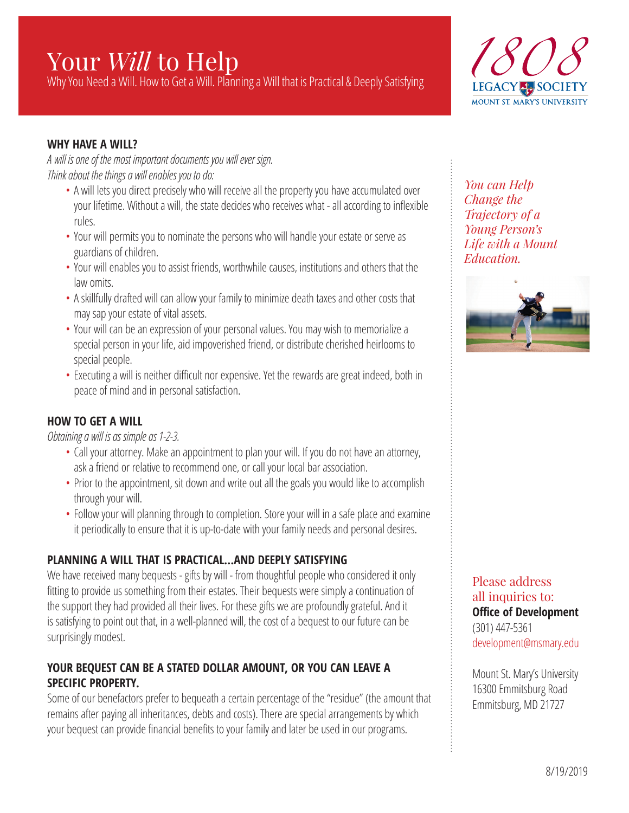# Your *Will* to Help

Why You Need a Will. How to Get a Will. Planning a Will that is Practical & Deeply Satisfying



### **WHY HAVE A WILL?**

*A will is one of the most important documents you will ever sign. Think about the things a will enables you to do:*

- A will lets you direct precisely who will receive all the property you have accumulated over your lifetime. Without a will, the state decides who receives what - all according to inflexible rules.
- Your will permits you to nominate the persons who will handle your estate or serve as guardians of children.
- Your will enables you to assist friends, worthwhile causes, institutions and others that the law omits.
- A skillfully drafted will can allow your family to minimize death taxes and other costs that may sap your estate of vital assets.
- Your will can be an expression of your personal values. You may wish to memorialize a special person in your life, aid impoverished friend, or distribute cherished heirlooms to special people.
- Executing a will is neither difficult nor expensive. Yet the rewards are great indeed, both in peace of mind and in personal satisfaction.

# **HOW TO GET A WILL**

*Obtaining a will is as simple as 1-2-3.*

- Call your attorney. Make an appointment to plan your will. If you do not have an attorney, ask a friend or relative to recommend one, or call your local bar association.
- Prior to the appointment, sit down and write out all the goals you would like to accomplish through your will.
- Follow your will planning through to completion. Store your will in a safe place and examine it periodically to ensure that it is up-to-date with your family needs and personal desires.

# **PLANNING A WILL THAT IS PRACTICAL…AND DEEPLY SATISFYING**

We have received many bequests - gifts by will - from thoughtful people who considered it only fitting to provide us something from their estates. Their bequests were simply a continuation of the support they had provided all their lives. For these gifts we are profoundly grateful. And it is satisfying to point out that, in a well-planned will, the cost of a bequest to our future can be surprisingly modest.

# **YOUR BEQUEST CAN BE A STATED DOLLAR AMOUNT, OR YOU CAN LEAVE A SPECIFIC PROPERTY.**

Some of our benefactors prefer to bequeath a certain percentage of the "residue" (the amount that remains after paying all inheritances, debts and costs). There are special arrangements by which your bequest can provide financial benefits to your family and later be used in our programs.

*You can Help Change the Trajectory of a Young Person's Life with a Mount Education.* 



Please address all inquiries to: **Office of Development** (301) 447-5361 development@msmary.edu

Mount St. Mary's University 16300 Emmitsburg Road Emmitsburg, MD 21727